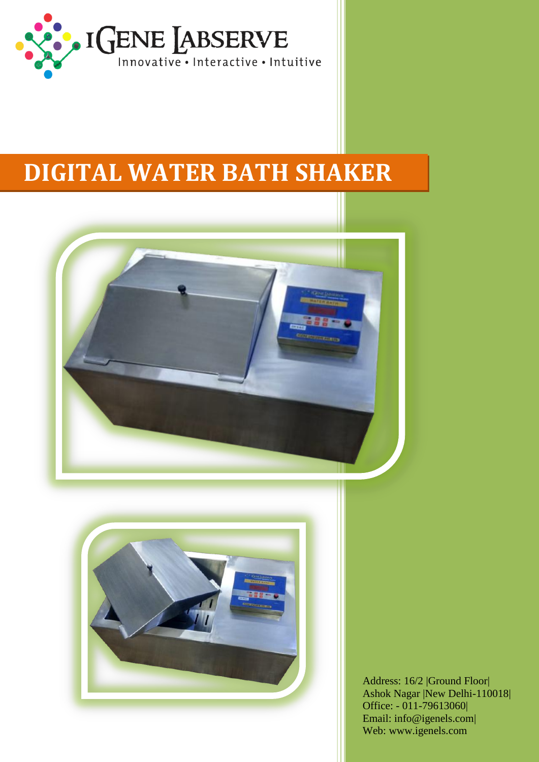

## **DIGITAL WATER BATH SHAKER**





Address: 16/2 |Ground Floor| Ashok Nagar |New Delhi-110018| Office: - 011-79613060| Email: info@igenels.com| Web: www.igenels.com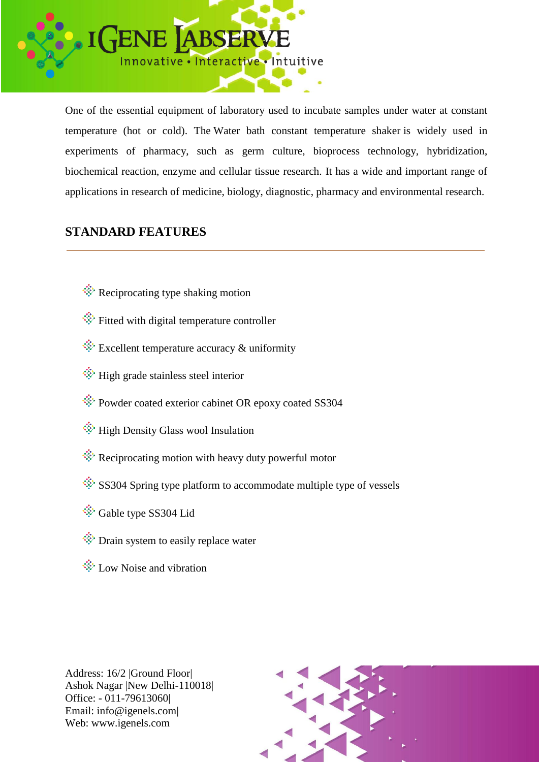

One of the essential equipment of laboratory used to incubate samples under water at constant temperature (hot or cold). The Water bath constant temperature shaker is widely used in experiments of pharmacy, such as germ culture, bioprocess technology, hybridization, biochemical reaction, enzyme and cellular tissue research. It has a wide and important range of applications in research of medicine, biology, diagnostic, pharmacy and environmental research.

## **STANDARD FEATURES**

- $\hat{\mathcal{R}}$  Reciprocating type shaking motion
- $\hat{\mathcal{F}}$  Fitted with digital temperature controller
- $\hat{\mathcal{L}}$  Excellent temperature accuracy & uniformity
- **W**: High grade stainless steel interior
- Powder coated exterior cabinet OR epoxy coated SS304
- $\hat{\mathcal{F}}$  High Density Glass wool Insulation
- Reciprocating motion with heavy duty powerful motor
- $\hat{\mathcal{S}}$  SS304 Spring type platform to accommodate multiple type of vessels
- Gable type SS304 Lid
- **Drain system to easily replace water**
- $\hat{\mathcal{L}}$  Low Noise and vibration



Address: 16/2 |Ground Floor| Ashok Nagar |New Delhi-110018| Office: - 011-79613060| Email: info@igenels.com| Web: www.igenels.com